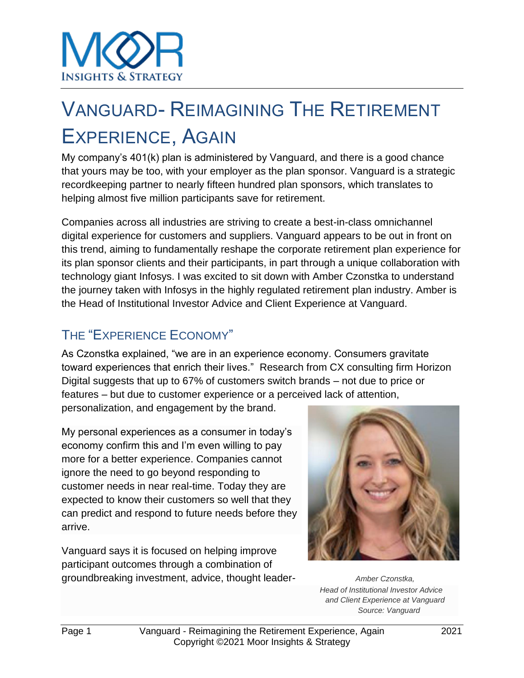# VANGUARD- REIMAGINING THE RETIREMENT EXPERIENCE, AGAIN

My company's 401(k) plan is administered by Vanguard, and there is a good chance that yours may be too, with your employer as the plan sponsor. Vanguard is a strategic recordkeeping partner to nearly fifteen hundred plan sponsors, which translates to helping almost five million participants save for retirement.

Companies across all industries are striving to create a best-in-class omnichannel digital experience for customers and suppliers. Vanguard appears to be out in front on this trend, aiming to fundamentally reshape the corporate retirement plan experience for its plan sponsor clients and their participants, in part through a unique collaboration with technology giant Infosys. I was excited to sit down with Amber Czonstka to understand the journey taken with Infosys in the highly regulated retirement plan industry. Amber is the Head of Institutional Investor Advice and Client Experience at Vanguard.

# THE "EXPERIENCE ECONOMY"

As Czonstka explained, "we are in an experience economy. Consumers gravitate toward experiences that enrich their lives." Research from CX consulting firm Horizon Digital suggests that up to 67% of customers switch brands – not due to price or features – but due to customer experience or a perceived lack of attention,

personalization, and engagement by the brand.

My personal experiences as a consumer in today's economy confirm this and I'm even willing to pay more for a better experience. Companies cannot ignore the need to go beyond responding to customer needs in near real-time. Today they are expected to know their customers so well that they can predict and respond to future needs before they arrive.

Vanguard says it is focused on helping improve participant outcomes through a combination of groundbreaking investment, advice, thought leader- *Amber Czonstka,*



*Head of Institutional Investor Advice and Client Experience at Vanguard Source: Vanguard*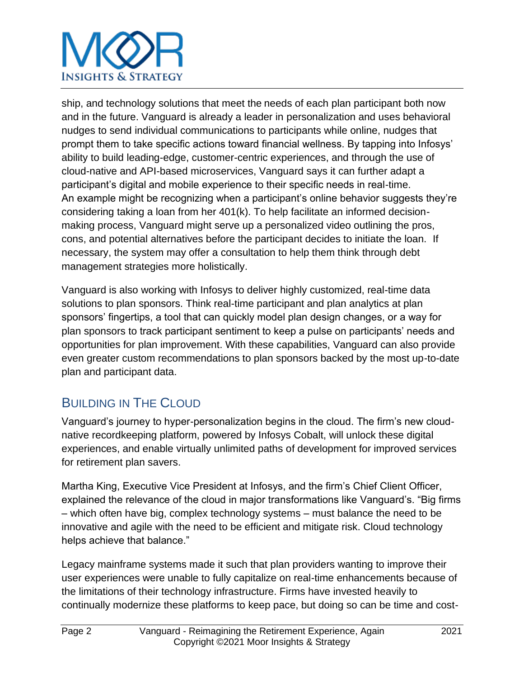# **INSIGHTS & STRATEGY**

ship, and technology solutions that meet the needs of each plan participant both now and in the future. Vanguard is already a leader in personalization and uses behavioral nudges to send individual communications to participants while online, nudges that prompt them to take specific actions toward financial wellness. By tapping into Infosys' ability to build leading-edge, customer-centric experiences, and through the use of cloud-native and API-based microservices, Vanguard says it can further adapt a participant's digital and mobile experience to their specific needs in real-time. An example might be recognizing when a participant's online behavior suggests they're considering taking a loan from her 401(k). To help facilitate an informed decisionmaking process, Vanguard might serve up a personalized video outlining the pros, cons, and potential alternatives before the participant decides to initiate the loan. If necessary, the system may offer a consultation to help them think through debt management strategies more holistically.

Vanguard is also working with Infosys to deliver highly customized, real-time data solutions to plan sponsors. Think real-time participant and plan analytics at plan sponsors' fingertips, a tool that can quickly model plan design changes, or a way for plan sponsors to track participant sentiment to keep a pulse on participants' needs and opportunities for plan improvement. With these capabilities, Vanguard can also provide even greater custom recommendations to plan sponsors backed by the most up-to-date plan and participant data.

# BUILDING IN THE CLOUD

Vanguard's journey to hyper-personalization begins in the cloud. The firm's new cloudnative recordkeeping platform, powered by Infosys Cobalt, will unlock these digital experiences, and enable virtually unlimited paths of development for improved services for retirement plan savers.

Martha King, Executive Vice President at Infosys, and the firm's Chief Client Officer, explained the relevance of the cloud in major transformations like Vanguard's. "Big firms – which often have big, complex technology systems – must balance the need to be innovative and agile with the need to be efficient and mitigate risk. Cloud technology helps achieve that balance."

Legacy mainframe systems made it such that plan providers wanting to improve their user experiences were unable to fully capitalize on real-time enhancements because of the limitations of their technology infrastructure. Firms have invested heavily to continually modernize these platforms to keep pace, but doing so can be time and cost-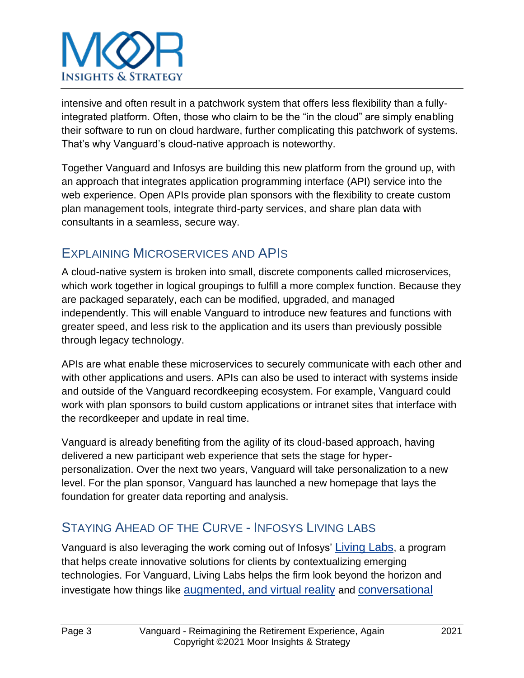

intensive and often result in a patchwork system that offers less flexibility than a fullyintegrated platform. Often, those who claim to be the "in the cloud" are simply enabling their software to run on cloud hardware, further complicating this patchwork of systems. That's why Vanguard's cloud-native approach is noteworthy.

Together Vanguard and Infosys are building this new platform from the ground up, with an approach that integrates application programming interface (API) service into the web experience. Open APIs provide plan sponsors with the flexibility to create custom plan management tools, integrate third-party services, and share plan data with consultants in a seamless, secure way.

## EXPLAINING MICROSERVICES AND APIS

A cloud-native system is broken into small, discrete components called microservices, which work together in logical groupings to fulfill a more complex function. Because they are packaged separately, each can be modified, upgraded, and managed independently. This will enable Vanguard to introduce new features and functions with greater speed, and less risk to the application and its users than previously possible through legacy technology.

APIs are what enable these microservices to securely communicate with each other and with other applications and users. APIs can also be used to interact with systems inside and outside of the Vanguard recordkeeping ecosystem. For example, Vanguard could work with plan sponsors to build custom applications or intranet sites that interface with the recordkeeper and update in real time.

Vanguard is already benefiting from the agility of its cloud-based approach, having delivered a new participant web experience that sets the stage for hyperpersonalization. Over the next two years, Vanguard will take personalization to a new level. For the plan sponsor, Vanguard has launched a new homepage that lays the foundation for greater data reporting and analysis.

# STAYING AHEAD OF THE CURVE - INFOSYS LIVING LABS

Vanguard is also leveraging the work coming out of Infosys' [Living Labs](https://www.infosys.com/services/incubating-emerging-technologies/offerings/living-labs.html), a program that helps create innovative solutions for clients by contextualizing emerging technologies. For Vanguard, Living Labs helps the firm look beyond the horizon and investigate how things like [augmented, and virtual reality](https://www.infosys.com/services/microsoft-cloud-business/insights/documents/augmented-virtual-reality-enterprises.pdf) and [conversational](https://www.infosys.com/industries/retail/ai-powered-conversational-commerce.html)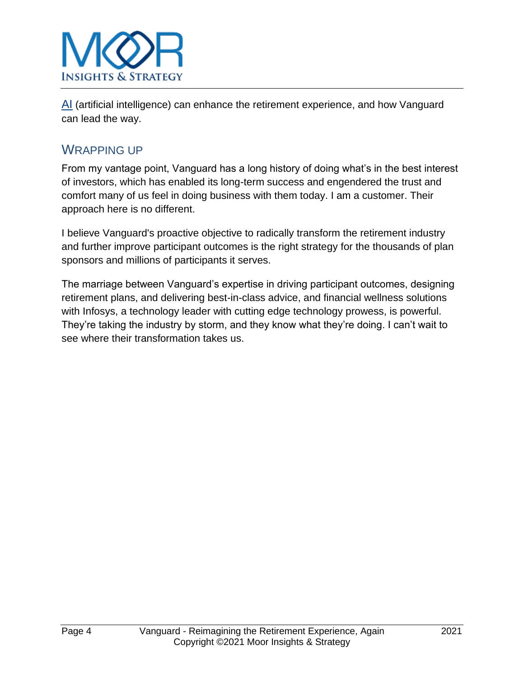

[AI](https://www.infosys.com/industries/retail/ai-powered-conversational-commerce.html) (artificial intelligence) can enhance the retirement experience, and how Vanguard can lead the way.

### WRAPPING UP

From my vantage point, Vanguard has a long history of doing what's in the best interest of investors, which has enabled its long-term success and engendered the trust and comfort many of us feel in doing business with them today. I am a customer. Their approach here is no different.

I believe Vanguard's proactive objective to radically transform the retirement industry and further improve participant outcomes is the right strategy for the thousands of plan sponsors and millions of participants it serves.

The marriage between Vanguard's expertise in driving participant outcomes, designing retirement plans, and delivering best-in-class advice, and financial wellness solutions with Infosys, a technology leader with cutting edge technology prowess, is powerful. They're taking the industry by storm, and they know what they're doing. I can't wait to see where their transformation takes us.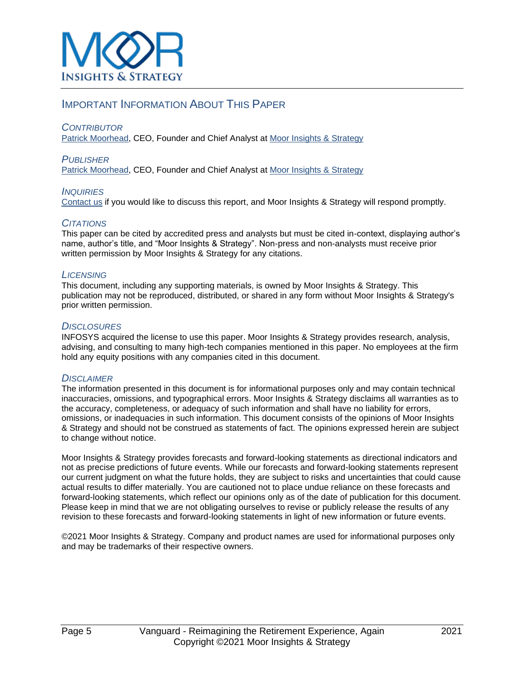#### IMPORTANT INFORMATION ABOUT THIS PAPER

#### *CONTRIBUTOR*

[Patrick Moorhead,](mailto:patrick@moorinsightsstrategy.com) CEO, Founder and Chief Analyst at [Moor Insights & Strategy](http://www.moorinsightsstrategy.com/)

*PUBLISHER* [Patrick Moorhead,](mailto:patrick@moorinsightsstrategy.com) CEO, Founder and Chief Analyst at [Moor Insights & Strategy](http://www.moorinsightsstrategy.com/)

*INQUIRIES* [Contact us](mailto:patrick@moorinsightsstrategy.com) if you would like to discuss this report, and Moor Insights & Strategy will respond promptly.

#### *CITATIONS*

This paper can be cited by accredited press and analysts but must be cited in-context, displaying author's name, author's title, and "Moor Insights & Strategy". Non-press and non-analysts must receive prior written permission by Moor Insights & Strategy for any citations.

#### *LICENSING*

This document, including any supporting materials, is owned by Moor Insights & Strategy. This publication may not be reproduced, distributed, or shared in any form without Moor Insights & Strategy's prior written permission.

#### *DISCLOSURES*

INFOSYS acquired the license to use this paper. Moor Insights & Strategy provides research, analysis, advising, and consulting to many high-tech companies mentioned in this paper. No employees at the firm hold any equity positions with any companies cited in this document.

#### *DISCLAIMER*

The information presented in this document is for informational purposes only and may contain technical inaccuracies, omissions, and typographical errors. Moor Insights & Strategy disclaims all warranties as to the accuracy, completeness, or adequacy of such information and shall have no liability for errors, omissions, or inadequacies in such information. This document consists of the opinions of Moor Insights & Strategy and should not be construed as statements of fact. The opinions expressed herein are subject to change without notice.

Moor Insights & Strategy provides forecasts and forward-looking statements as directional indicators and not as precise predictions of future events. While our forecasts and forward-looking statements represent our current judgment on what the future holds, they are subject to risks and uncertainties that could cause actual results to differ materially. You are cautioned not to place undue reliance on these forecasts and forward-looking statements, which reflect our opinions only as of the date of publication for this document. Please keep in mind that we are not obligating ourselves to revise or publicly release the results of any revision to these forecasts and forward-looking statements in light of new information or future events.

©2021 Moor Insights & Strategy. Company and product names are used for informational purposes only and may be trademarks of their respective owners.